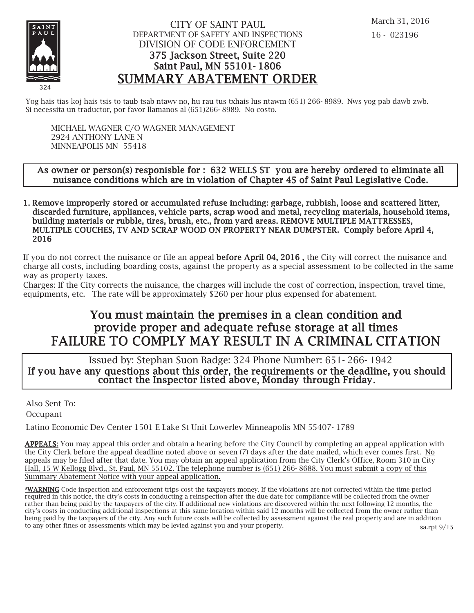

### CITY OF SAINT PAUL DEPARTMENT OF SAFETY AND INSPECTIONS DIVISION OF CODE ENFORCEMENT 375 Jackson Street, Suite 220 Saint Paul, MN 55101- 1806 SUMMARY ABATEMENT ORDER

Yog hais tias koj hais tsis to taub tsab ntawv no, hu rau tus txhais lus ntawm (651) 266- 8989. Nws yog pab dawb zwb. Si necessita un traductor, por favor llamanos al (651)266- 8989. No costo.

MICHAEL WAGNER C/O WAGNER MANAGEMENT 2924 ANTHONY LANE N MINNEAPOLIS MN 55418

#### As owner or person(s) responisble for : 632 WELLS ST you are hereby ordered to eliminate all nuisance conditions which are in violation of Chapter 45 of Saint Paul Legislative Code.

1. Remove improperly stored or accumulated refuse including: garbage, rubbish, loose and scattered litter, discarded furniture, appliances, vehicle parts, scrap wood and metal, recycling materials, household items, building materials or rubble, tires, brush, etc., from yard areas. REMOVE MULTIPLE MATTRESSES, MULTIPLE COUCHES, TV AND SCRAP WOOD ON PROPERTY NEAR DUMPSTER. Comply before April 4, 2016

If you do not correct the nuisance or file an appeal before April 04, 2016 , the City will correct the nuisance and charge all costs, including boarding costs, against the property as a special assessment to be collected in the same way as property taxes.

Charges: If the City corrects the nuisance, the charges will include the cost of correction, inspection, travel time, equipments, etc. The rate will be approximately \$260 per hour plus expensed for abatement.

# You must maintain the premises in a clean condition and prov ide proper and adequate refuse storage at all times FAILURE TO COMPLY MAY RESULT IN A CRIMINAL CITATION

 Issued by: Stephan Suon Badge: 324 Phone Number: 651- 266- 1942 If you have any questions about this order, the requirements or the deadline, you should contact the Inspector listed above, Monday through Friday.

Also Sent To:

Occupant

Latino Economic Dev Center 1501 E Lake St Unit Lowerlev Minneapolis MN 55407- 1789

APPEALS: You may appeal this order and obtain a hearing before the City Council by completing an appeal application with the City Clerk before the appeal deadline noted above or seven (7) days after the date mailed, which ever comes first. No appeals may be filed after that date. You may obtain an appeal application from the City Clerk's Office, Room 310 in City Hall, 15 W Kellogg Blvd., St. Paul, MN 55102. The telephone number is (651) 266- 8688. You must submit a copy of this Summary Abatement Notice with your appeal application.

\*WARNING Code inspection and enforcement trips cost the taxpayers money. If the violations are not corrected within the time period required in this notice, the city's costs in conducting a reinspection after the due date for compliance will be collected from the owner rather than being paid by the taxpayers of the city. If additional new violations are discovered within the next following 12 months, the city's costs in conducting additional inspections at this same location within said 12 months will be collected from the owner rather than being paid by the taxpayers of the city. Any such future costs will be collected by assessment against the real property and are in addition to any other fines or assessments which may be levied against you and your property.

sa.rpt 9/15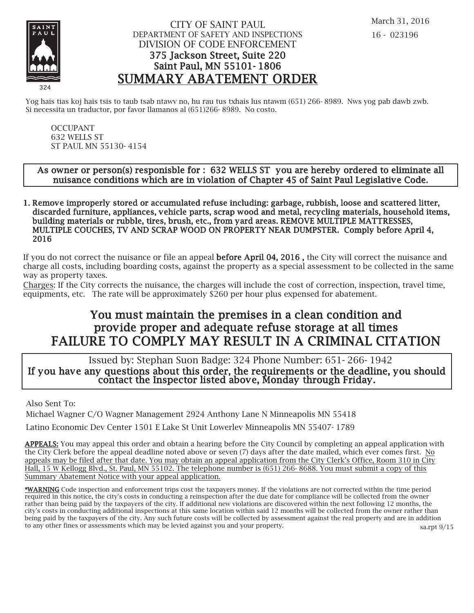

### CITY OF SAINT PAUL DEPARTMENT OF SAFETY AND INSPECTIONS DIVISION OF CODE ENFORCEMENT 375 Jackson Street, Suite 220 Saint Paul, MN 55101- 1806 SUMMARY ABATEMENT ORDER

Yog hais tias koj hais tsis to taub tsab ntawy no, hu rau tus txhais lus ntawm (651) 266-8989. Nws yog pab dawb zwb. Si necessita un traductor, por favor llamanos al (651)266- 8989. No costo.

OCCUPANT 632 WELLS ST ST PAUL MN 55130- 4154

#### As owner or person(s) responisble for : 632 WELLS ST you are hereby ordered to eliminate all nuisance conditions which are in violation of Chapter 45 of Saint Paul Legislative Code.

1. Remove improperly stored or accumulated refuse including: garbage, rubbish, loose and scattered litter, discarded furniture, appliances, vehicle parts, scrap wood and metal, recycling materials, household items, building materials or rubble, tires, brush, etc., from yard areas. REMOVE MULTIPLE MATTRESSES, MULTIPLE COUCHES, TV AND SCRAP WOOD ON PROPERTY NEAR DUMPSTER. Comply before April 4, 2016

If you do not correct the nuisance or file an appeal before April 04, 2016 , the City will correct the nuisance and charge all costs, including boarding costs, against the property as a special assessment to be collected in the same way as property taxes.

Charges: If the City corrects the nuisance, the charges will include the cost of correction, inspection, travel time, equipments, etc. The rate will be approximately \$260 per hour plus expensed for abatement.

# You must maintain the premises in a clean condition and prov ide proper and adequate refuse storage at all times FAILURE TO COMPLY MAY RESULT IN A CRIMINAL CITATION

 Issued by: Stephan Suon Badge: 324 Phone Number: 651- 266- 1942 If you have any questions about this order, the requirements or the deadline, you should contact the Inspector listed above, Monday through Friday.

Also Sent To:

Michael Wagner C/O Wagner Management 2924 Anthony Lane N Minneapolis MN 55418

Latino Economic Dev Center 1501 E Lake St Unit Lowerlev Minneapolis MN 55407- 1789

APPEALS: You may appeal this order and obtain a hearing before the City Council by completing an appeal application with the City Clerk before the appeal deadline noted above or seven (7) days after the date mailed, which ever comes first. No appeals may be filed after that date. You may obtain an appeal application from the City Clerk's Office, Room 310 in City Hall, 15 W Kellogg Blvd., St. Paul, MN 55102. The telephone number is (651) 266- 8688. You must submit a copy of this Summary Abatement Notice with your appeal application.

\*WARNING Code inspection and enforcement trips cost the taxpayers money. If the violations are not corrected within the time period required in this notice, the city's costs in conducting a reinspection after the due date for compliance will be collected from the owner rather than being paid by the taxpayers of the city. If additional new violations are discovered within the next following 12 months, the city's costs in conducting additional inspections at this same location within said 12 months will be collected from the owner rather than being paid by the taxpayers of the city. Any such future costs will be collected by assessment against the real property and are in addition to any other fines or assessments which may be levied against you and your property. sa.rpt 9/15